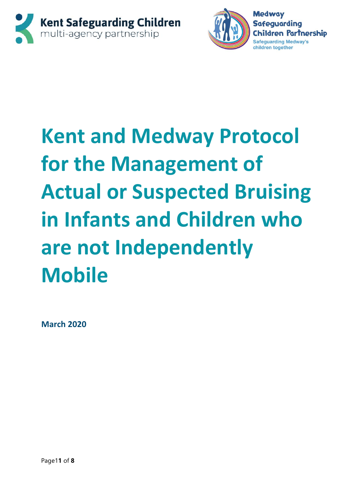



# **Kent and Medway Protocol for the Management of Actual or Suspected Bruising in Infants and Children who are not Independently Mobile**

**March 2020**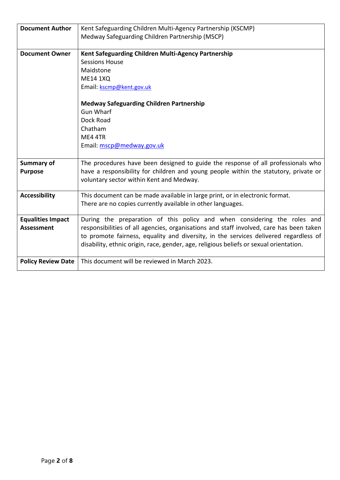| <b>Document Author</b>    | Kent Safeguarding Children Multi-Agency Partnership (KSCMP)                             |
|---------------------------|-----------------------------------------------------------------------------------------|
|                           | Medway Safeguarding Children Partnership (MSCP)                                         |
|                           |                                                                                         |
| <b>Document Owner</b>     | Kent Safeguarding Children Multi-Agency Partnership                                     |
|                           | <b>Sessions House</b>                                                                   |
|                           | Maidstone                                                                               |
|                           | <b>ME14 1XQ</b>                                                                         |
|                           | Email: kscmp@kent.gov.uk                                                                |
|                           | <b>Medway Safeguarding Children Partnership</b>                                         |
|                           | <b>Gun Wharf</b>                                                                        |
|                           | Dock Road                                                                               |
|                           | Chatham                                                                                 |
|                           | ME4 4TR                                                                                 |
|                           | Email: mscp@medway.gov.uk                                                               |
|                           |                                                                                         |
| <b>Summary of</b>         | The procedures have been designed to guide the response of all professionals who        |
| <b>Purpose</b>            | have a responsibility for children and young people within the statutory, private or    |
|                           | voluntary sector within Kent and Medway.                                                |
|                           |                                                                                         |
| <b>Accessibility</b>      | This document can be made available in large print, or in electronic format.            |
|                           | There are no copies currently available in other languages.                             |
| <b>Equalities Impact</b>  | During the preparation of this policy and when considering the roles and                |
| <b>Assessment</b>         | responsibilities of all agencies, organisations and staff involved, care has been taken |
|                           | to promote fairness, equality and diversity, in the services delivered regardless of    |
|                           | disability, ethnic origin, race, gender, age, religious beliefs or sexual orientation.  |
|                           |                                                                                         |
| <b>Policy Review Date</b> | This document will be reviewed in March 2023.                                           |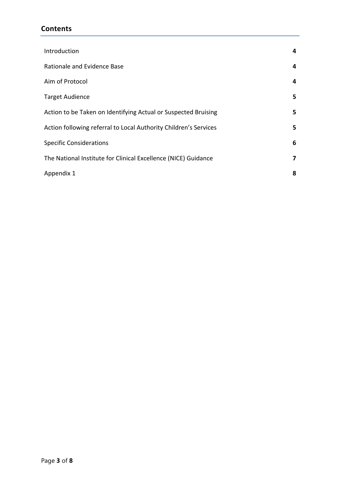# **Contents**

| Introduction                                                     | 4  |
|------------------------------------------------------------------|----|
| Rationale and Evidence Base                                      | 4  |
| Aim of Protocol                                                  | 4  |
| <b>Target Audience</b>                                           | 5. |
| Action to be Taken on Identifying Actual or Suspected Bruising   | 5. |
| Action following referral to Local Authority Children's Services | 5  |
| <b>Specific Considerations</b>                                   | 6  |
| The National Institute for Clinical Excellence (NICE) Guidance   | 7  |
| Appendix 1                                                       | 8  |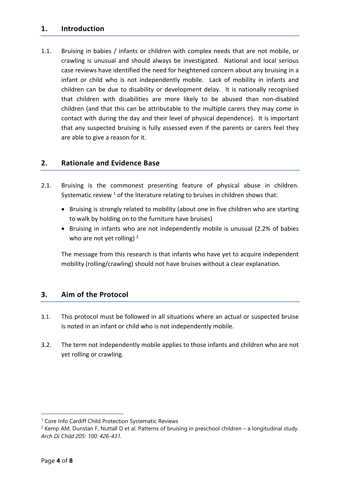## **1. Introduction**

1.1. Bruising in babies / infants or children with complex needs that are not mobile, or crawling is unusual and should always be investigated. National and local serious case reviews have identified the need for heightened concern about any bruising in a infant or child who is not independently mobile. Lack of mobility in infants and children can be due to disability or development delay. It is nationally recognised that children with disabilities are more likely to be abused than non‐disabled children (and that this can be attributable to the multiple carers they may come in contact with during the day and their level of physical dependence). It is important that any suspected bruising is fully assessed even if the parents or carers feel they are able to give a reason for it.

## **2. Rationale and Evidence Base**

- 2.1. Bruising is the commonest presenting feature of physical abuse in children. Systematic review  $^1$  of the literature relating to bruises in children shows that:
	- Bruising is strongly related to mobility (about one in five children who are starting to walk by holding on to the furniture have bruises)
	- Bruising in infants who are not independently mobile is unusual (2.2% of babies who are not yet rolling)  $2$

The message from this research is that infants who have yet to acquire independent mobility (rolling/crawling) should not have bruises without a clear explanation.

## **3. Aim of the Protocol**

- 3.1. This protocol must be followed in all situations where an actual or suspected bruise is noted in an infant or child who is not independently mobile.
- 3.2. The term not independently mobile applies to those infants and children who are not yet rolling or crawling.

<sup>&</sup>lt;sup>1</sup> Core Info Cardiff Child Protection Systematic Reviews

 $2$  Kemp AM, Dunstan F, Nuttall D et al. Patterns of bruising in preschool children – a longitudinal study. *Arch Di Child 205: 100: 426-431.*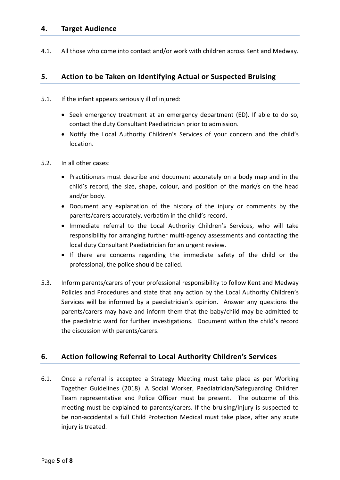#### **4. Target Audience**

4.1. All those who come into contact and/or work with children across Kent and Medway.

### **5. Action to be Taken on Identifying Actual or Suspected Bruising**

- 5.1. If the infant appears seriously ill of injured:
	- $\bullet$  Seek emergency treatment at an emergency department (ED). If able to do so, contact the duty Consultant Paediatrician prior to admission.
	- Notify the Local Authority Children's Services of your concern and the child's location.
- 5.2. In all other cases:
	- Practitioners must describe and document accurately on a body map and in the child's record, the size, shape, colour, and position of the mark/s on the head and/or body.
	- Document any explanation of the history of the injury or comments by the parents/carers accurately, verbatim in the child's record.
	- Immediate referral to the Local Authority Children's Services, who will take responsibility for arranging further multi‐agency assessments and contacting the local duty Consultant Paediatrician for an urgent review.
	- If there are concerns regarding the immediate safety of the child or the professional, the police should be called.
- 5.3. Inform parents/carers of your professional responsibility to follow Kent and Medway Policies and Procedures and state that any action by the Local Authority Children's Services will be informed by a paediatrician's opinion. Answer any questions the parents/carers may have and inform them that the baby/child may be admitted to the paediatric ward for further investigations. Document within the child's record the discussion with parents/carers.

## **6. Action following Referral to Local Authority Children's Services**

6.1. Once a referral is accepted a Strategy Meeting must take place as per Working Together Guidelines (2018). A Social Worker, Paediatrician/Safeguarding Children Team representative and Police Officer must be present. The outcome of this meeting must be explained to parents/carers. If the bruising/injury is suspected to be non-accidental a full Child Protection Medical must take place, after any acute injury is treated.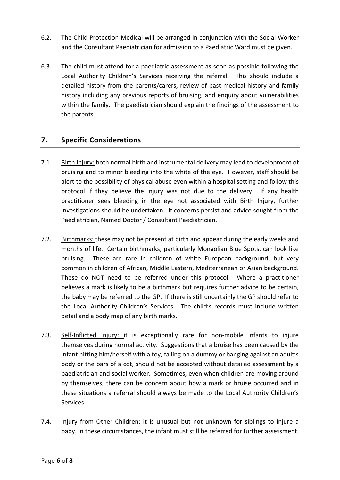- 6.2. The Child Protection Medical will be arranged in conjunction with the Social Worker and the Consultant Paediatrician for admission to a Paediatric Ward must be given.
- 6.3. The child must attend for a paediatric assessment as soon as possible following the Local Authority Children's Services receiving the referral. This should include a detailed history from the parents/carers, review of past medical history and family history including any previous reports of bruising, and enquiry about vulnerabilities within the family. The paediatrician should explain the findings of the assessment to the parents.

## **7. Specific Considerations**

- 7.1. Birth Injury: both normal birth and instrumental delivery may lead to development of bruising and to minor bleeding into the white of the eye. However, staff should be alert to the possibility of physical abuse even within a hospital setting and follow this protocol if they believe the injury was not due to the delivery. If any health practitioner sees bleeding in the eye not associated with Birth Injury, further investigations should be undertaken. If concerns persist and advice sought from the Paediatrician, Named Doctor / Consultant Paediatrician.
- 7.2. Birthmarks: these may not be present at birth and appear during the early weeks and months of life. Certain birthmarks, particularly Mongolian Blue Spots, can look like bruising. These are rare in children of white European background, but very common in children of African, Middle Eastern, Mediterranean or Asian background. These do NOT need to be referred under this protocol. Where a practitioner believes a mark is likely to be a birthmark but requires further advice to be certain, the baby may be referred to the GP. If there is still uncertainly the GP should refer to the Local Authority Children's Services. The child's records must include written detail and a body map of any birth marks.
- 7.3. Self-Inflicted Injury: it is exceptionally rare for non-mobile infants to injure themselves during normal activity. Suggestions that a bruise has been caused by the infant hitting him/herself with a toy, falling on a dummy or banging against an adult's body or the bars of a cot, should not be accepted without detailed assessment by a paediatrician and social worker. Sometimes, even when children are moving around by themselves, there can be concern about how a mark or bruise occurred and in these situations a referral should always be made to the Local Authority Children's Services.
- 7.4. Injury from Other Children: it is unusual but not unknown for siblings to injure a baby. In these circumstances, the infant must still be referred for further assessment.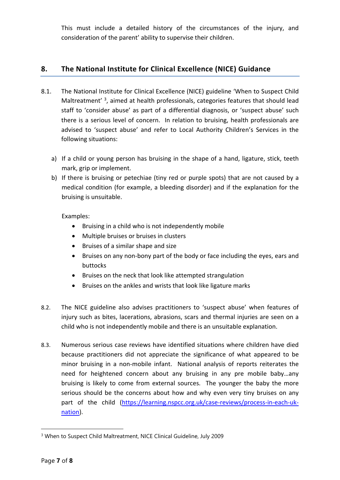This must include a detailed history of the circumstances of the injury, and consideration of the parent' ability to supervise their children.

## **8. The National Institute for Clinical Excellence (NICE) Guidance**

- 8.1. The National Institute for Clinical Excellence (NICE) guideline 'When to Suspect Child Maltreatment'<sup>3</sup>, aimed at health professionals, categories features that should lead staff to 'consider abuse' as part of a differential diagnosis, or 'suspect abuse' such there is a serious level of concern. In relation to bruising, health professionals are advised to 'suspect abuse' and refer to Local Authority Children's Services in the following situations:
	- a) If a child or young person has bruising in the shape of a hand, ligature, stick, teeth mark, grip or implement.
	- b) If there is bruising or petechiae (tiny red or purple spots) that are not caused by a medical condition (for example, a bleeding disorder) and if the explanation for the bruising is unsuitable.

Examples:

- Bruising in a child who is not independently mobile
- Multiple bruises or bruises in clusters
- Bruises of a similar shape and size
- Bruises on any non-bony part of the body or face including the eyes, ears and buttocks
- Bruises on the neck that look like attempted strangulation
- Bruises on the ankles and wrists that look like ligature marks
- 8.2. The NICE guideline also advises practitioners to 'suspect abuse' when features of injury such as bites, lacerations, abrasions, scars and thermal injuries are seen on a child who is not independently mobile and there is an unsuitable explanation.
- 8.3. Numerous serious case reviews have identified situations where children have died because practitioners did not appreciate the significance of what appeared to be minor bruising in a non-mobile infant. National analysis of reports reiterates the need for heightened concern about any bruising in any pre mobile baby…any bruising is likely to come from external sources. The younger the baby the more serious should be the concerns about how and why even very tiny bruises on any part of the child (https://learning.nspcc.org.uk/case-reviews/process-in-each-uknation).

<sup>&</sup>lt;sup>3</sup> When to Suspect Child Maltreatment, NICE Clinical Guideline, July 2009